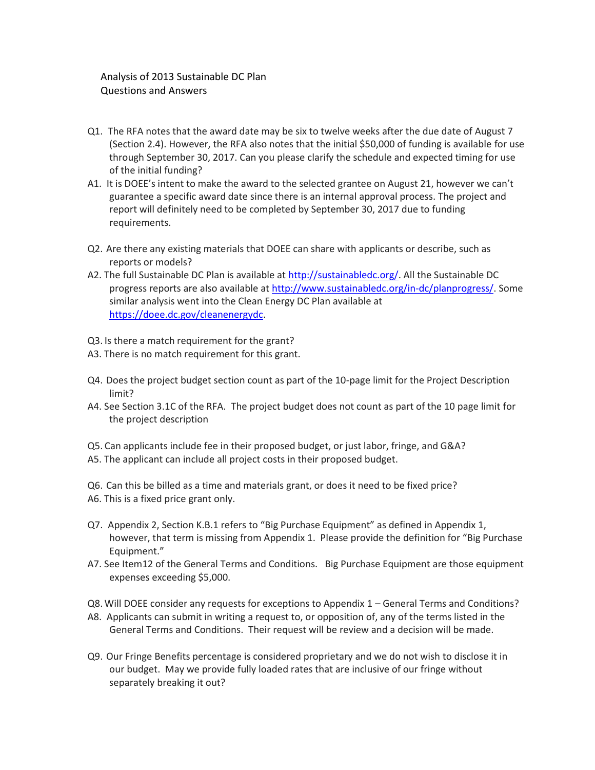## Analysis of 2013 Sustainable DC Plan Questions and Answers

- Q1. The RFA notes that the award date may be six to twelve weeks after the due date of August 7 (Section 2.4). However, the RFA also notes that the initial \$50,000 of funding is available for use through September 30, 2017. Can you please clarify the schedule and expected timing for use of the initial funding?
- A1. It is DOEE's intent to make the award to the selected grantee on August 21, however we can't guarantee a specific award date since there is an internal approval process. The project and report will definitely need to be completed by September 30, 2017 due to funding requirements.
- Q2. Are there any existing materials that DOEE can share with applicants or describe, such as reports or models?
- A2. The full Sustainable DC Plan is available a[t http://sustainabledc.org/.](http://sustainabledc.org/) All the Sustainable DC progress reports are also available a[t http://www.sustainabledc.org/in-dc/planprogress/.](http://www.sustainabledc.org/in-dc/planprogress/) Some similar analysis went into the Clean Energy DC Plan available at [https://doee.dc.gov/cleanenergydc.](https://doee.dc.gov/cleanenergydc)
- Q3. Is there a match requirement for the grant?
- A3. There is no match requirement for this grant.
- Q4. Does the project budget section count as part of the 10-page limit for the Project Description limit?
- A4. See Section 3.1C of the RFA. The project budget does not count as part of the 10 page limit for the project description
- Q5. Can applicants include fee in their proposed budget, or just labor, fringe, and G&A?
- A5. The applicant can include all project costs in their proposed budget.
- Q6. Can this be billed as a time and materials grant, or does it need to be fixed price?
- A6. This is a fixed price grant only.
- Q7. Appendix 2, Section K.B.1 refers to "Big Purchase Equipment" as defined in Appendix 1, however, that term is missing from Appendix 1. Please provide the definition for "Big Purchase Equipment."
- A7. See Item12 of the General Terms and Conditions. Big Purchase Equipment are those equipment expenses exceeding \$5,000.
- Q8. Will DOEE consider any requests for exceptions to Appendix 1 General Terms and Conditions?
- A8. Applicants can submit in writing a request to, or opposition of, any of the terms listed in the General Terms and Conditions. Their request will be review and a decision will be made.
- Q9. Our Fringe Benefits percentage is considered proprietary and we do not wish to disclose it in our budget. May we provide fully loaded rates that are inclusive of our fringe without separately breaking it out?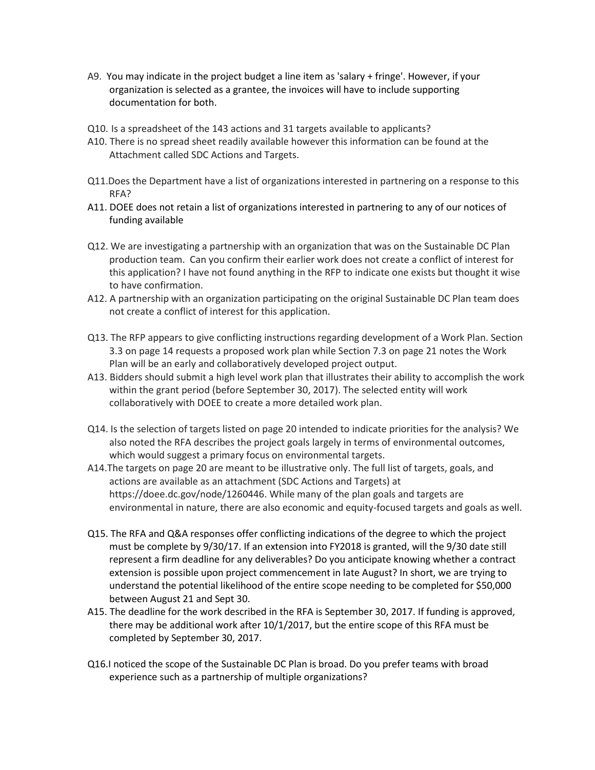- A9. You may indicate in the project budget a line item as 'salary + fringe'. However, if your organization is selected as a grantee, the invoices will have to include supporting documentation for both.
- Q10. Is a spreadsheet of the 143 actions and 31 targets available to applicants?
- A10. There is no spread sheet readily available however this information can be found at the Attachment called SDC Actions and Targets.
- Q11.Does the Department have a list of organizations interested in partnering on a response to this RFA?
- A11. DOEE does not retain a list of organizations interested in partnering to any of our notices of funding available
- Q12. We are investigating a partnership with an organization that was on the Sustainable DC Plan production team. Can you confirm their earlier work does not create a conflict of interest for this application? I have not found anything in the RFP to indicate one exists but thought it wise to have confirmation.
- A12. A partnership with an organization participating on the original Sustainable DC Plan team does not create a conflict of interest for this application.
- Q13. The RFP appears to give conflicting instructions regarding development of a Work Plan. Section 3.3 on page 14 requests a proposed work plan while Section 7.3 on page 21 notes the Work Plan will be an early and collaboratively developed project output.
- A13. Bidders should submit a high level work plan that illustrates their ability to accomplish the work within the grant period (before September 30, 2017). The selected entity will work collaboratively with DOEE to create a more detailed work plan.
- Q14. Is the selection of targets listed on page 20 intended to indicate priorities for the analysis? We also noted the RFA describes the project goals largely in terms of environmental outcomes, which would suggest a primary focus on environmental targets.
- A14.The targets on page 20 are meant to be illustrative only. The full list of targets, goals, and actions are available as an attachment (SDC Actions and Targets) at https://doee.dc.gov/node/1260446. While many of the plan goals and targets are environmental in nature, there are also economic and equity-focused targets and goals as well.
- Q15. The RFA and Q&A responses offer conflicting indications of the degree to which the project must be complete by 9/30/17. If an extension into FY2018 is granted, will the 9/30 date still represent a firm deadline for any deliverables? Do you anticipate knowing whether a contract extension is possible upon project commencement in late August? In short, we are trying to understand the potential likelihood of the entire scope needing to be completed for \$50,000 between August 21 and Sept 30.
- A15. The deadline for the work described in the RFA is September 30, 2017. If funding is approved, there may be additional work after 10/1/2017, but the entire scope of this RFA must be completed by September 30, 2017.
- Q16.I noticed the scope of the Sustainable DC Plan is broad. Do you prefer teams with broad experience such as a partnership of multiple organizations?